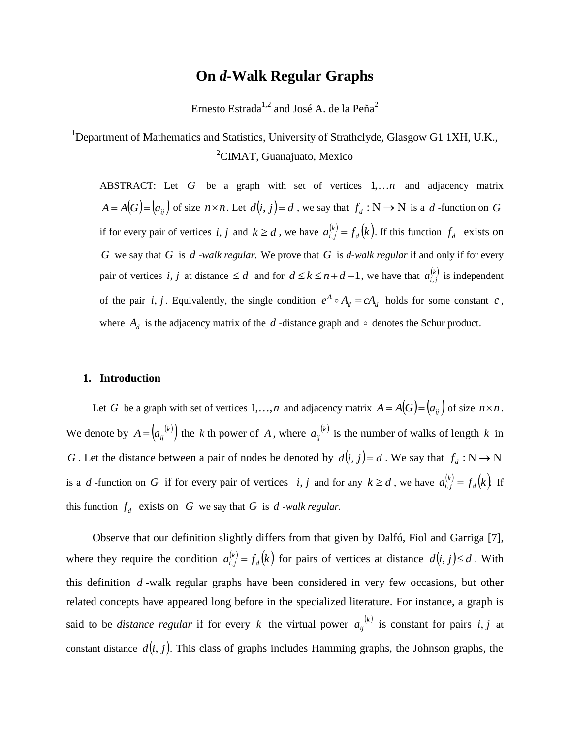# **On** *d***-Walk Regular Graphs**

Ernesto Estrada<br/> $^{1,2}$  and José A. de la  $\mathrm{Pe}\|a^2$ 

<sup>1</sup>Department of Mathematics and Statistics, University of Strathclyde, Glasgow G1 1XH, U.K., <sup>2</sup>CIMAT, Guanajuato, Mexico

ABSTRACT: Let  $G$  be a graph with set of vertices  $1,...n$  and adjacency matrix  $A = A(G) = (a_{ij})$  of size  $n \times n$ . Let  $d(i, j) = d$ , we say that  $f_d : N \to N$  is a  $d$  -function on G if for every pair of vertices *i*, *j* and  $k \ge d$ , we have  $a_{i,j}^{(k)} = f_d(k)$ .  $d_{i,j}^{(k)} = f_d(k)$ . If this function  $f_d$  exists on *G* we say that *G* is *d -walk regular.* We prove that *G* is *d-walk regular* if and only if for every pair of vertices *i*, *j* at distance  $\leq d$  and for  $d \leq k \leq n+d-1$ , we have that  $a_{i,j}^{(k)}$  is independent of the pair *i*, *j*. Equivalently, the single condition  $e^{A} \circ A_d = cA_d$  $e^A \circ A_d = cA_d$  holds for some constant *c*, where  $A_d$  is the adjacency matrix of the  $d$ -distance graph and  $\circ$  denotes the Schur product.

## **1. Introduction**

Let G be a graph with set of vertices  $1, \ldots, n$  and adjacency matrix  $A = A(G) = (a_{ij})$  of size  $n \times n$ . We denote by  $A = (a_{ij}^{(k)})$  the k th power of A, where  $a_{ij}^{(k)}$  is the number of walks of length k in *G* . Let the distance between a pair of nodes be denoted by  $d(i, j) = d$ . We say that  $f_d : N \to N$ is a *d*-function on *G* if for every pair of vertices *i*, *j* and for any  $k \ge d$ , we have  $a_{i,j}^{(k)} = f_d(k)$  $f_{i,j}^{(k)} = f_d(k)$  If this function  $f_d$  exists on  $G$  we say that  $G$  is  $d$  *-walk regular.* 

Observe that our definition slightly differs from that given by Dalfó, Fiol and Garriga [7], where they require the condition  $a_{i,j}^{(k)} = f_d(k)$  $f_{i,j}^{(k)} = f_d(k)$  for pairs of vertices at distance  $d(i, j) \le d$ . With this definition *d* -walk regular graphs have been considered in very few occasions, but other related concepts have appeared long before in the specialized literature. For instance, a graph is said to be *distance regular* if for every k the virtual power  $a_{ij}^{(k)}$  is constant for pairs i, j at constant distance  $d(i, j)$ . This class of graphs includes Hamming graphs, the Johnson graphs, the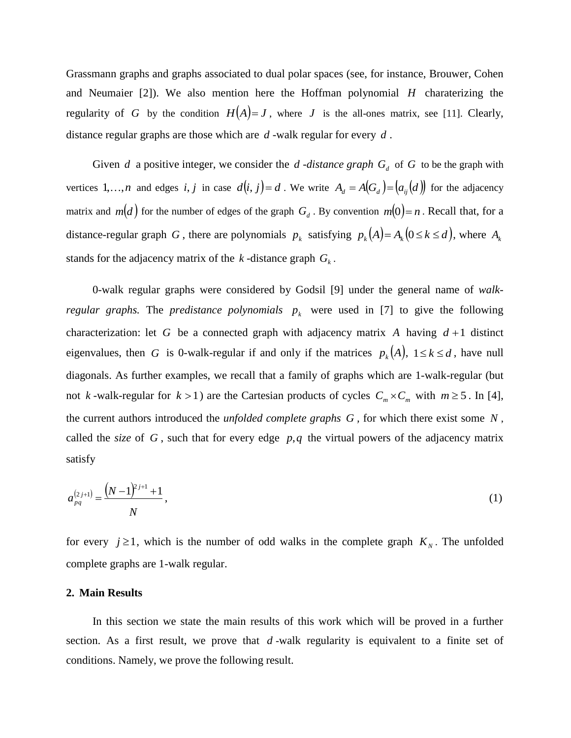Grassmann graphs and graphs associated to dual polar spaces (see, for instance, Brouwer, Cohen and Neumaier [2]). We also mention here the Hoffman polynomial *H* charaterizing the regularity of G by the condition  $H(A)=J$ , where J is the all-ones matrix, see [11]. Clearly, distance regular graphs are those which are *d* -walk regular for every *d* .

Given *d* a positive integer, we consider the *d -distance graph*  $G_d$  of *G* to be the graph with vertices 1,...,*n* and edges *i*, *j* in case  $d(i, j) = d$ . We write  $A_d = A(G_d) = (a_{ij}(d))$  for the adjacency matrix and  $m(d)$  for the number of edges of the graph  $G_d$ . By convention  $m(0) = n$ . Recall that, for a distance-regular graph G, there are polynomials  $p_k$  satisfying  $p_k(A) = A_k(0 \le k \le d)$ , where  $A_k$ stands for the adjacency matrix of the  $k$ -distance graph  $G_k$ .

0-walk regular graphs were considered by Godsil [9] under the general name of *walkregular graphs.* The *predistance polynomials*  $p_k$  were used in [7] to give the following characterization: let G be a connected graph with adjacency matrix A having  $d+1$  distinct eigenvalues, then G is 0-walk-regular if and only if the matrices  $p_k(A)$ ,  $1 \le k \le d$ , have null diagonals. As further examples, we recall that a family of graphs which are 1-walk-regular (but not k-walk-regular for  $k > 1$ ) are the Cartesian products of cycles  $C_m \times C_m$  with  $m \ge 5$ . In [4], the current authors introduced the *unfolded complete graphs G ,* for which there exist some *N* , called the *size* of  $G$ , such that for every edge  $p, q$  the virtual powers of the adjacency matrix satisfy

$$
a_{pq}^{(2j+1)} = \frac{\left(N-1\right)^{2j+1} + 1}{N},\tag{1}
$$

for every  $j \ge 1$ , which is the number of odd walks in the complete graph  $K_N$ . The unfolded complete graphs are 1-walk regular.

## **2. Main Results**

In this section we state the main results of this work which will be proved in a further section. As a first result, we prove that *d* -walk regularity is equivalent to a finite set of conditions. Namely, we prove the following result.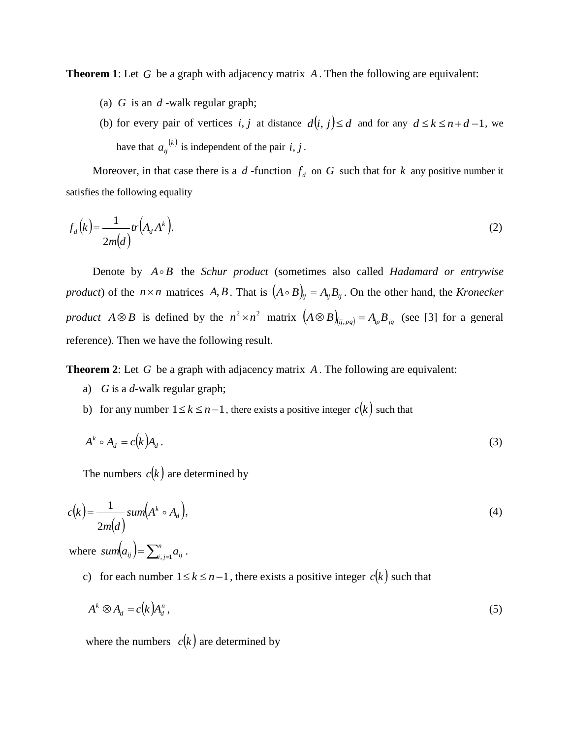**Theorem 1**: Let G be a graph with adjacency matrix A. Then the following are equivalent:

- (a) *G* is an *d* -walk regular graph;
- (b) for every pair of vertices *i*, *j* at distance  $d(i, j) \le d$  and for any  $d \le k \le n+d-1$ , we have that  $a_{ij}^{(k)}$  is independent of the pair *i*, *j*.

Moreover, in that case there is a  $d$ -function  $f_d$  on  $G$  such that for  $k$  any positive number it satisfies the following equality

$$
f_d(k) = \frac{1}{2m(d)} tr(A_d A^k).
$$
 (2)

Denote by  $A \circ B$  the *Schur product* (sometimes also called *Hadamard or entrywise product*) of the  $n \times n$  matrices  $A, B$ . That is  $(A \circ B)_{ij} = A_{ij}B_{ij}$ . On the other hand, the *Kronecker product*  $A \otimes B$  is defined by the  $n^2 \times n^2$  matrix  $(A \otimes B)_{(i,j,pq)} = A_{ip}B_{jq}$  (see [3] for a general reference). Then we have the following result.

**Theorem 2**: Let G be a graph with adjacency matrix A. The following are equivalent:

- a) *G* is a *d*-walk regular graph;
- b) for any number  $1 \le k \le n-1$ , there exists a positive integer  $c(k)$  such that

$$
A^k \circ A_d = c(k)A_d.
$$
 (3)

The numbers  $c(k)$  are determined by

$$
c(k) = \frac{1}{2m(d)} sum(Ak \circ Ad),
$$
\n(4)

where  $sum(a_{ij}) = \sum_{i,j=1}^{n}$  $sum(a_{ij}) = \sum_{i,j=1}^{n} a_{ij}$ .

c) for each number  $1 \le k \le n-1$ , there exists a positive integer  $c(k)$  such that

$$
A^k \otimes A_d = c(k)A_d^n, \qquad (5)
$$

where the numbers  $c(k)$  are determined by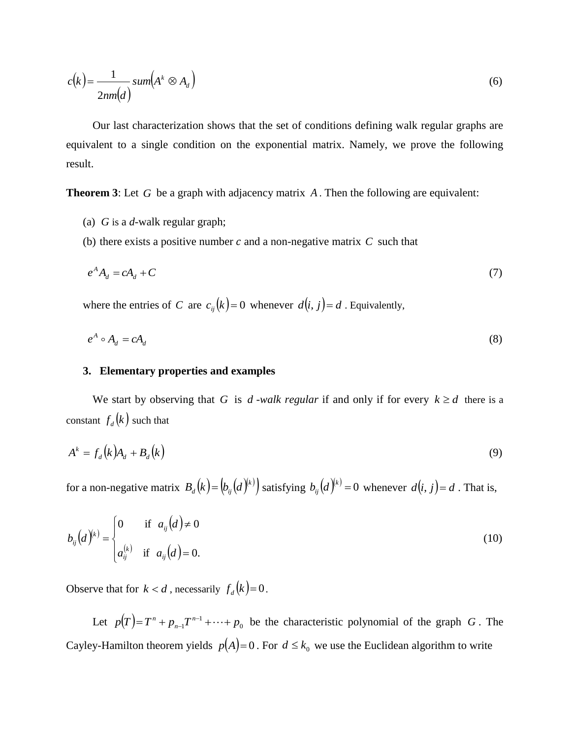$$
c(k) = \frac{1}{2nm(d)} sum(A^k \otimes A_d)
$$
\n(6)

Our last characterization shows that the set of conditions defining walk regular graphs are equivalent to a single condition on the exponential matrix. Namely, we prove the following result.

**Theorem 3**: Let G be a graph with adjacency matrix A. Then the following are equivalent:

- (a) *G* is a *d*-walk regular graph;
- (b) there exists a positive number  $c$  and a non-negative matrix  $C$  such that

$$
e^A A_d = c A_d + C \tag{7}
$$

where the entries of C are  $c_{ij}(k) = 0$  whenever  $d(i, j) = d$ . Equivalently,

$$
e^A \circ A_d = cA_d \tag{8}
$$

## **3. Elementary properties and examples**

We start by observing that G is d-walk regular if and only if for every  $k \ge d$  there is a constant  $f_d(k)$  such that

$$
A^k = f_d(k)A_d + B_d(k)
$$
\n(9)

for a non-negative matrix  $B_d(k) = (b_{ij}(d)^{(k)})$  satisfying  $b_{ij}(d)^{(k)} = 0$  whenever  $d(i, j) = d$  . That is,

$$
b_{ij}(d)^{(k)} = \begin{cases} 0 & \text{if } a_{ij}(d) \neq 0 \\ a_{ij}^{(k)} & \text{if } a_{ij}(d) = 0. \end{cases}
$$
 (10)

Observe that for  $k < d$ , necessarily  $f_d(k) = 0$ .

Let  $p(T) = T^n + p_{n-1}T^{n-1} + \cdots + p_0$ *n*  $=T^{n} + p_{n-1}T^{n-1} + \cdots + p_{0}$  be the characteristic polynomial of the graph *G*. The Cayley-Hamilton theorem yields  $p(A)=0$ . For  $d \leq k_0$  we use the Euclidean algorithm to write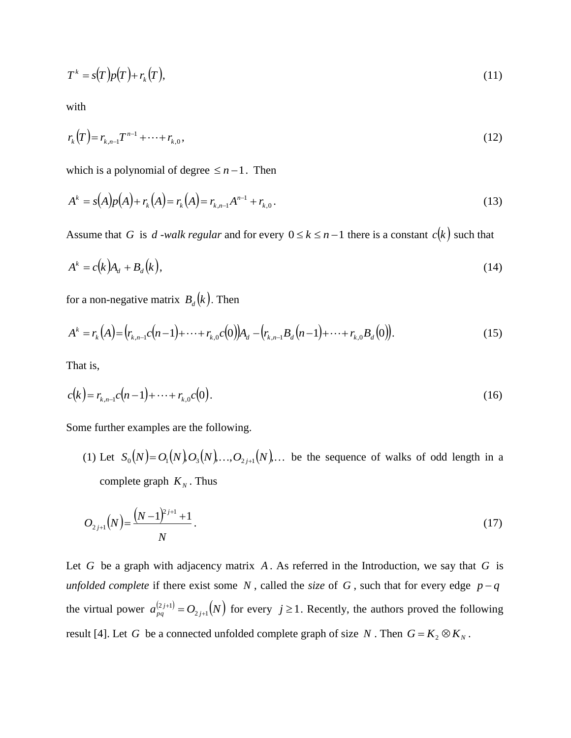$$
T^k = s(T)p(T) + r_k(T),\tag{11}
$$

with

$$
r_k(T) = r_{k,n-1}T^{n-1} + \dots + r_{k,0},\tag{12}
$$

which is a polynomial of degree  $\leq n-1$ . Then

$$
A^{k} = s(A)p(A) + r_{k}(A) = r_{k,n-1}A^{n-1} + r_{k,0}.
$$
\n(13)

Assume that G is d -walk regular and for every  $0 \le k \le n-1$  there is a constant  $c(k)$  such that

$$
A^k = c(k)A_d + B_d(k),
$$
\n(14)

for a non-negative matrix  $B_d(k)$ . Then

$$
A^{k} = r_{k}(A) = (r_{k,n-1}c(n-1) + \dots + r_{k,0}c(0))A_{d} - (r_{k,n-1}B_{d}(n-1) + \dots + r_{k,0}B_{d}(0)).
$$
\n(15)

That is,

$$
c(k) = r_{k,n-1}c(n-1) + \dots + r_{k,0}c(0). \tag{16}
$$

Some further examples are the following.

(1) Let  $S_0(N) = O_1(N) O_3(N) \dots O_{2j+1}(N) \dots$  be the sequence of walks of odd length in a complete graph  $K_N$ . Thus

$$
O_{2j+1}(N) = \frac{(N-1)^{2j+1}+1}{N}.
$$
\n(17)

Let  $G$  be a graph with adjacency matrix  $A$ . As referred in the Introduction, we say that  $G$  is *unfolded complete* if there exist some N, called the *size* of G, such that for every edge  $p - q$ the virtual power  $a_{pq}^{(2j+1)} = O_{2j+1}(N)$ *pq*  $-\mathbf{U}_{2j+1}$  $2 j + 1$  $^{+}$ <sup>+1)</sup> =  $O_{2,i+1}(N)$  for every  $j \ge 1$ . Recently, the authors proved the following result [4]. Let *G* be a connected unfolded complete graph of size *N*. Then  $G = K_2 \otimes K_N$ .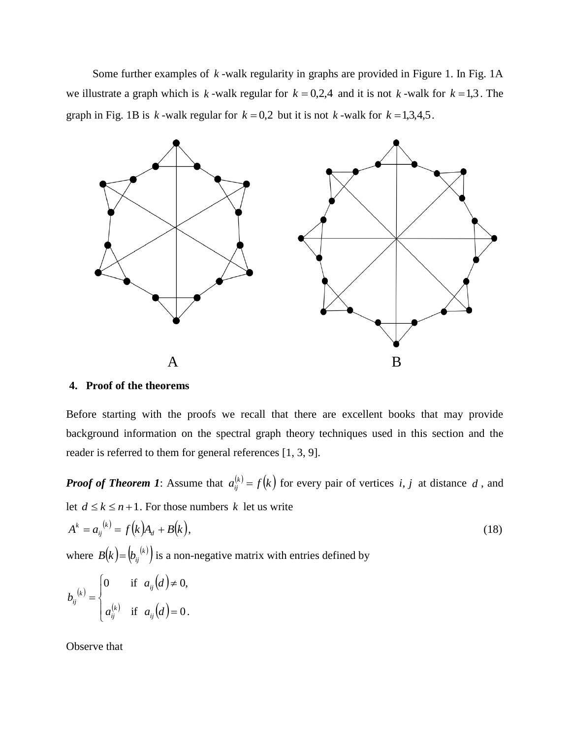Some further examples of k-walk regularity in graphs are provided in Figure 1. In Fig. 1A we illustrate a graph which is  $k$ -walk regular for  $k = 0,2,4$  and it is not  $k$ -walk for  $k = 1,3$ . The graph in Fig. 1B is  $k$ -walk regular for  $k = 0.2$  but it is not  $k$ -walk for  $k = 1.3,4,5$ .



# **4. Proof of the theorems**

Before starting with the proofs we recall that there are excellent books that may provide background information on the spectral graph theory techniques used in this section and the reader is referred to them for general references [1, 3, 9].

*Proof of Theorem 1*: Assume that  $a_{ii}^{(k)} = f(k)$  $f_{ij}^{(k)} = f(k)$  for every pair of vertices *i*, *j* at distance *d*, and let  $d \leq k \leq n+1$ . For those numbers k let us write

$$
A^k = a_{ij}^{(k)} = f(k)A_d + B(k),
$$
\n(18)

where  $B(k) = (b_{ij}^{(k)})$  is a non-negative matrix with entries defined by

$$
b_{ij}^{(k)} = \begin{cases} 0 & \text{if } a_{ij}(d) \neq 0, \\ a_{ij}^{(k)} & \text{if } a_{ij}(d) = 0. \end{cases}
$$

Observe that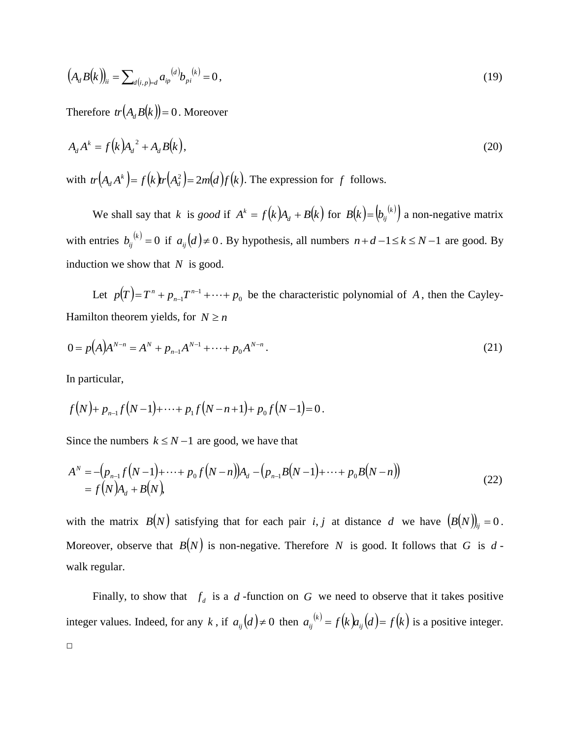$$
(A_d B(k))_{ii} = \sum_{d(i,p)=d} a_{ip}^{(d)} b_{pi}^{(k)} = 0,
$$
\n(19)

Therefore  $tr(A_d B(k)) = 0$ . Moreover

$$
A_d A^k = f(k)A_d^2 + A_d B(k), \qquad (20)
$$

with  $tr(A_dA^k) = f(k)tr(A_d^2) = 2m(d)f(k)$ . The expression for f follows.

We shall say that k is *good* if  $A^k = f(k)A_d + B(k)$  for  $B(k) = (b_{ij}^{(k)})$  a non-negative matrix with entries  $b_{ij}^{(k)} = 0$  if  $a_{ij}(d) \neq 0$ . By hypothesis, all numbers  $n+d-1 \leq k \leq N-1$  are good. By induction we show that *N* is good.

Let  $p(T) = T^n + p_{n-1}T^{n-1} + \cdots + p_0$ *n*  $=T^{n} + p_{n-1}T^{n-1} + \cdots + p_{0}$  be the characteristic polynomial of A, then the Cayley-Hamilton theorem yields, for  $N \ge n$ 

$$
0 = p(A)A^{N-n} = A^N + p_{n-1}A^{N-1} + \dots + p_0A^{N-n}.
$$
\n(21)

In particular,

$$
f(N)+p_{n-1}f(N-1)+\cdots+p_1f(N-n+1)+p_0f(N-1)=0.
$$

Since the numbers  $k \le N-1$  are good, we have that

$$
A^N = -(p_{n-1}f(N-1) + \dots + p_0f(N-n))A_d - (p_{n-1}B(N-1) + \dots + p_0B(N-n))
$$
  
=  $f(N)A_d + B(N)$ , (22)

with the matrix  $B(N)$  satisfying that for each pair *i*, *j* at distance *d* we have  $(B(N))_{ij} = 0$ . Moreover, observe that  $B(N)$  is non-negative. Therefore N is good. It follows that G is dwalk regular.

Finally, to show that  $f_d$  is a  $d$ -function on  $G$  we need to observe that it takes positive integer values. Indeed, for any k, if  $a_{ij}(d) \neq 0$  then  $a_{ij}^{(k)} = f(k)a_{ij}(d) = f(k)$  $j_{ij}^{(k)} = f(k)a_{ij}(d) = f(k)$  is a positive integer. □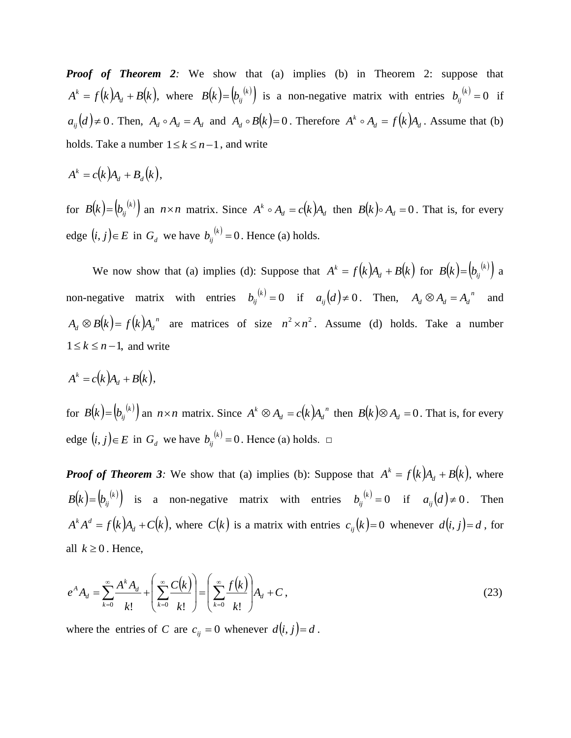*Proof* of **Theorem 2**: We show that (a) implies (b) in Theorem 2: suppose that  $A^k = f(k)A_d + B(k)$ , where  $B(k) = (b_{ij}^{(k)})$  is a non-negative matrix with entries  $b_{ij}^{(k)} = 0$  if  $a_{ij}(d) \neq 0$ . Then,  $A_d \circ A_d = A_d$  and  $A_d \circ B(k) = 0$ . Therefore  $A^k \circ A_d = f(k)A_d$ . Assume that (b) holds. Take a number  $1 \le k \le n-1$ , and write

$$
A^k = c(k)A_d + B_d(k),
$$

for  $B(k) = (b_{ij}^{(k)})$  an  $n \times n$  matrix. Since  $A^k \circ A_d = c(k)A_d$  then  $B(k) \circ A_d = 0$ . That is, for every edge  $(i, j) \in E$  in  $G_d$  we have  $b_{ij}^{(k)} = 0$ . Hence (a) holds.

We now show that (a) implies (d): Suppose that  $A^k = f(k)A_d + B(k)$  for  $B(k) = (b_{ij}^{(k)})$  a non-negative matrix with entries  $b_{ij}^{(k)} = 0$  if  $a_{ij}(d) \neq 0$ . Then,  $A_d \otimes A_d = A_d^{(n)}$  and  $A_d \otimes B(k) = f(k)A_d$ <sup>n</sup> are matrices of size  $n^2 \times n^2$ . Assume (d) holds. Take a number  $1 \leq k \leq n-1$ , and write

$$
A^k = c(k)A_d + B(k),
$$

for  $B(k) = (b_{ij}^{(k)})$  an  $n \times n$  matrix. Since  $A^k \otimes A_d = c(k)A_d^{n-k}$  $A^k \otimes A_d = c(k)A_d^{\ n}$  then  $B(k) \otimes A_d = 0$ . That is, for every edge  $(i, j) \in E$  in  $G_d$  we have  $b_{ij}^{(k)} = 0$ . Hence (a) holds.  $\Box$ 

*Proof of Theorem 3:* We show that (a) implies (b): Suppose that  $A^k = f(k)A_d + B(k)$ , where  $B(k) = (b_{ij}^{(k)})$  is a non-negative matrix with entries  $b_{ij}^{(k)} = 0$  if  $a_{ij}(d) \neq 0$ . Then  $A^k A^d = f(k)A_d + C(k)$ , where  $C(k)$  is a matrix with entries  $c_{ij}(k) = 0$  whenever  $d(i, j) = d$ , for all  $k \geq 0$ . Hence,

$$
e^{A} A_{d} = \sum_{k=0}^{\infty} \frac{A^{k} A_{d}}{k!} + \left( \sum_{k=0}^{\infty} \frac{C(k)}{k!} \right) = \left( \sum_{k=0}^{\infty} \frac{f(k)}{k!} \right) A_{d} + C,
$$
\n(23)

where the entries of C are  $c_{ij} = 0$  whenever  $d(i, j) = d$ .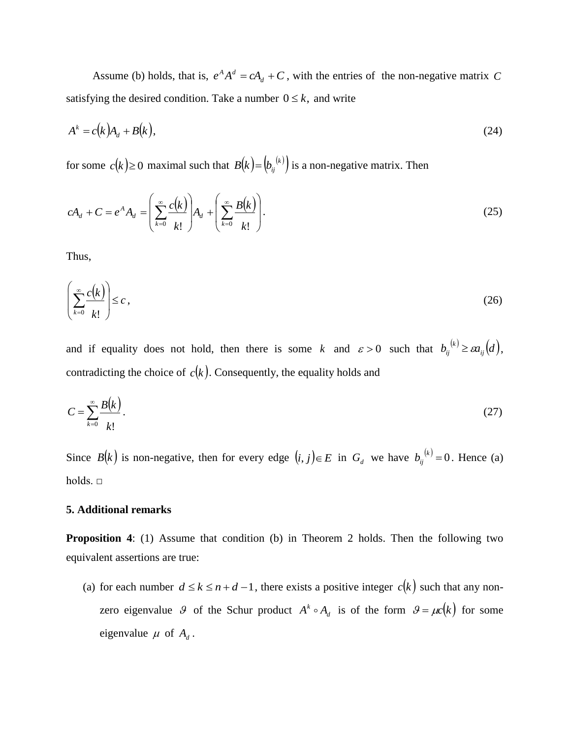Assume (b) holds, that is,  $e^A A^d = cA_d + C$ , with the entries of the non-negative matrix C satisfying the desired condition. Take a number  $0 \le k$ , and write

$$
A^k = c(k)A_d + B(k),\tag{24}
$$

for some  $c(k) \ge 0$  maximal such that  $B(k) = (b_{ij}^{(k)})$  is a non-negative matrix. Then

$$
cA_d + C = e^A A_d = \left(\sum_{k=0}^{\infty} \frac{c(k)}{k!} \right) A_d + \left(\sum_{k=0}^{\infty} \frac{B(k)}{k!} \right). \tag{25}
$$

Thus,

$$
\left(\sum_{k=0}^{\infty} \frac{c(k)}{k!}\right) \leq c\,,\tag{26}
$$

and if equality does not hold, then there is some k and  $\varepsilon > 0$  such that  $b_{ij}^{(k)} \geq \varepsilon a_{ij}(d)$ , contradicting the choice of  $c(k)$ . Consequently, the equality holds and

$$
C = \sum_{k=0}^{\infty} \frac{B(k)}{k!}.
$$

Since  $B(k)$  is non-negative, then for every edge  $(i, j) \in E$  in  $G_d$  we have  $b_{ij}^{(k)} = 0$ . Hence (a) holds. □

# **5. Additional remarks**

**Proposition 4:** (1) Assume that condition (b) in Theorem 2 holds. Then the following two equivalent assertions are true:

(a) for each number  $d \le k \le n+d-1$ , there exists a positive integer  $c(k)$  such that any nonzero eigenvalue 9 of the Schur product  $A^k \circ A_d$  is of the form  $\theta = \mu c(k)$  for some eigenvalue  $\mu$  of  $A_d$ .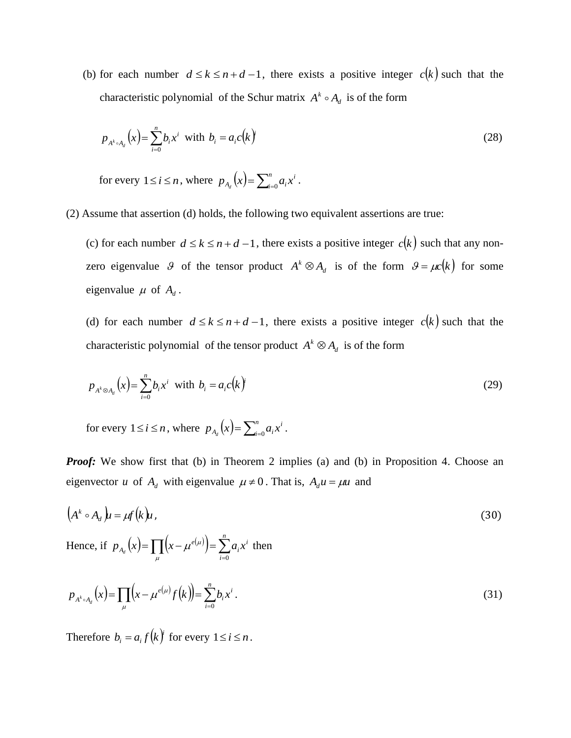(b) for each number  $d \le k \le n+d-1$ , there exists a positive integer  $c(k)$  such that the characteristic polynomial of the Schur matrix  $A^k \circ A_d$  is of the form

$$
p_{A^k \circ A_d}(x) = \sum_{i=0}^n b_i x^i \text{ with } b_i = a_i c(k)
$$
 (28)

for every  $1 \le i \le n$ , where  $p_{A_d}(x) = \sum_{i=0}^{n} a_i x^i$ .

(2) Assume that assertion (d) holds, the following two equivalent assertions are true:

(c) for each number  $d \le k \le n+d-1$ , there exists a positive integer  $c(k)$  such that any nonzero eigenvalue 9 of the tensor product  $A^k \otimes A_d$  is of the form  $\theta = \mu c(k)$  for some eigenvalue  $\mu$  of  $A_d$ .

(d) for each number  $d \le k \le n+d-1$ , there exists a positive integer  $c(k)$  such that the characteristic polynomial of the tensor product  $A^k \otimes A_d$  is of the form

$$
p_{A^k \otimes A_d}(x) = \sum_{i=0}^n b_i x^i \text{ with } b_i = a_i c(k)
$$
 (29)

for every  $1 \le i \le n$ , where  $p_{A_d}(x) = \sum_{i=0}^{n} a_i x^i$ .

*Proof:* We show first that (b) in Theorem 2 implies (a) and (b) in Proposition 4. Choose an eigenvector *u* of  $A_d$  with eigenvalue  $\mu \neq 0$ . That is,  $A_d u = \mu u$  and

$$
(Ak \circ Ad)u = \mu f(k)u,
$$
\n(30)

Hence, if  $p_{A} (x) = \prod (x - \mu^{e(\mu)}) = \sum_{i=1}^{n} a_i x^{i}$ *i i*  $p_{A_d}(x) = \prod_{\mu} (x - \mu^{e(\mu)}) = \sum_{i=0}^{\infty} a_i x_i$  $\mu$   $i=0$  $\mu^{e(\mu)}$  =  $\sum a_i x^i$  then

$$
p_{A^k \circ A_d}(x) = \prod_{\mu} \left( x - \mu^{e(\mu)} f(k) \right) = \sum_{i=0}^n b_i x^i.
$$
 (31)

Therefore  $b_i = a_i f(k)$  for every  $1 \le i \le n$ .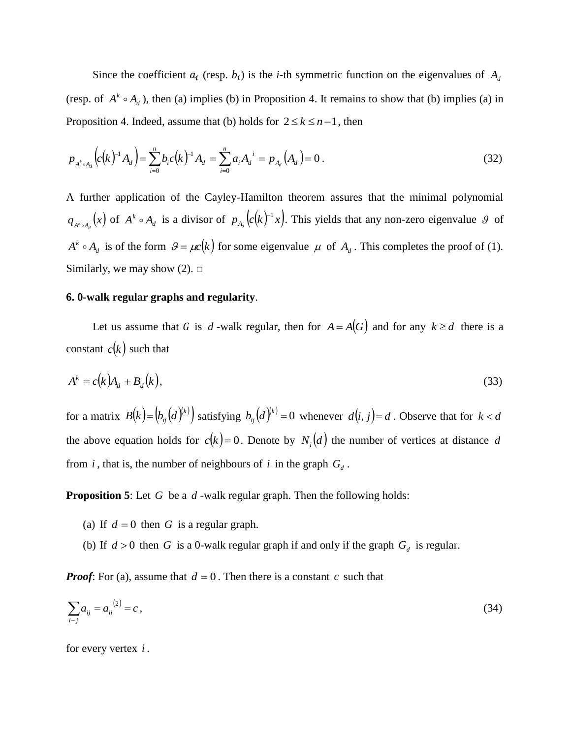Since the coefficient  $a_i$  (resp.  $b_i$ ) is the *i*-th symmetric function on the eigenvalues of  $A_d$ (resp. of  $A^k \circ A_d$ ), then (a) implies (b) in Proposition 4. It remains to show that (b) implies (a) in Proposition 4. Indeed, assume that (b) holds for  $2 \le k \le n-1$ , then

$$
p_{A^k \circ A_d} \left( c(k)^{-1} A_d \right) = \sum_{i=0}^n b_i c(k)^{-1} A_d = \sum_{i=0}^n a_i A_d^{i} = p_{A_d} (A_d) = 0 \,. \tag{32}
$$

A further application of the Cayley-Hamilton theorem assures that the minimal polynomial  $q_{A^k \circ A_d}(x)$  of  $A^k \circ A_d$  is a divisor of  $p_{A_d}(c(k)^{-1}x)$ . This yields that any non-zero eigenvalue  $\mathcal G$  of  $A^k \circ A_d$  is of the form  $\mathcal{G} = \mu c(k)$  for some eigenvalue  $\mu$  of  $A_d$ . This completes the proof of (1). Similarly, we may show  $(2)$ .  $\Box$ 

## **6. 0-walk regular graphs and regularity**.

Let us assume that G is d -walk regular, then for  $A = A(G)$  and for any  $k \ge d$  there is a constant  $c(k)$  such that

$$
A^k = c(k)A_d + B_d(k),
$$
\n(33)

for a matrix  $B(k) = (b_{ij}(d)^{(k)})$  satisfying  $b_{ij}(d)^{(k)} = 0$  whenever  $d(i, j) = d$  . Observe that for  $k < d$ the above equation holds for  $c(k) = 0$ . Denote by  $N_i(d)$  the number of vertices at distance d from *i*, that is, the number of neighbours of *i* in the graph  $G_d$ .

**Proposition 5**: Let G be a d-walk regular graph. Then the following holds:

- (a) If  $d = 0$  then G is a regular graph.
- (b) If  $d > 0$  then G is a 0-walk regular graph if and only if the graph  $G_d$  is regular.

*Proof:* For (a), assume that  $d = 0$ . Then there is a constant c such that

$$
\sum_{i-j} a_{ij} = a_{ii}^{(2)} = c \,, \tag{34}
$$

for every vertex *i* .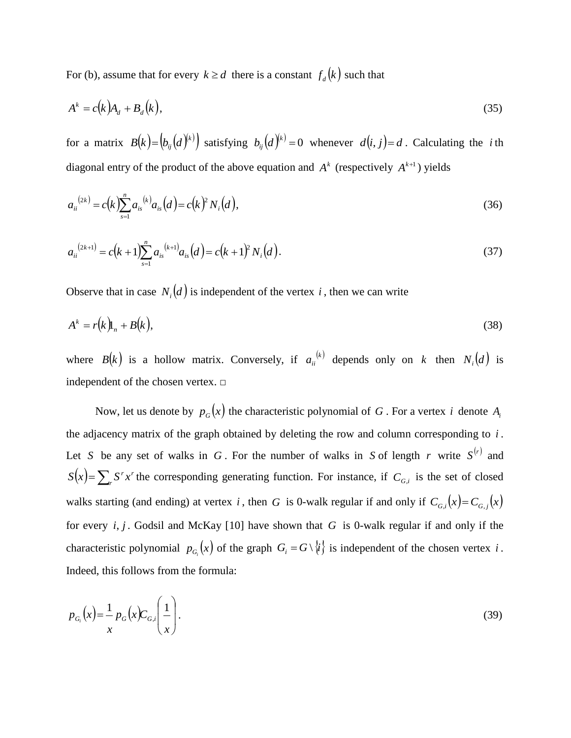For (b), assume that for every  $k \ge d$  there is a constant  $f_d(k)$  such that

$$
A^k = c(k)A_d + B_d(k),
$$
\n(35)

for a matrix  $B(k) = (b_{ij}(d)^{k})$  satisfying  $b_{ij}(d)^{k} = 0$  whenever  $d(i, j) = d$ . Calculating the *i*th diagonal entry of the product of the above equation and  $A<sup>k</sup>$  (respectively  $A<sup>k+1</sup>$ ) yields

$$
a_{ii}^{(2k)} = c(k) \sum_{s=1}^{n} a_{is}^{(k)} a_{is}(d) = c(k)^2 N_i(d), \qquad (36)
$$

$$
a_{ii}^{(2k+1)} = c(k+1) \sum_{s=1}^{n} a_{is}^{(k+1)} a_{is}(d) = c(k+1)^2 N_i(d).
$$
 (37)

Observe that in case  $N_i(d)$  is independent of the vertex i, then we can write

$$
A^k = r(k) \mathbf{I}_n + B(k), \tag{38}
$$

where  $B(k)$  is a hollow matrix. Conversely, if  $a_{ii}^{(k)}$  depends only on k then  $N_i(d)$  is independent of the chosen vertex.  $\square$ 

Now, let us denote by  $p_G(x)$  the characteristic polynomial of G. For a vertex i denote  $A_i$ the adjacency matrix of the graph obtained by deleting the row and column corresponding to *i* . Let S be any set of walks in G. For the number of walks in S of length r write  $S^{(r)}$  and  $(x) = \sum S^r x^r$ *r*  $S(x) = \sum_{r} S^{r} x^{r}$  the corresponding generating function. For instance, if  $C_{G,i}$  is the set of closed walks starting (and ending) at vertex i, then G is 0-walk regular if and only if  $C_{G,i}(x) = C_{G,i}(x)$ for every *i*, *j* . Godsil and McKay [10] have shown that *G* is 0-walk regular if and only if the characteristic polynomial  $p_{G_i}(x)$  of the graph  $G_i = G \setminus \{i\}$  is independent of the chosen vertex i. Indeed, this follows from the formula:

$$
p_{G_i}(x) = \frac{1}{x} p_G(x) C_{G,i} \left(\frac{1}{x}\right).
$$
 (39)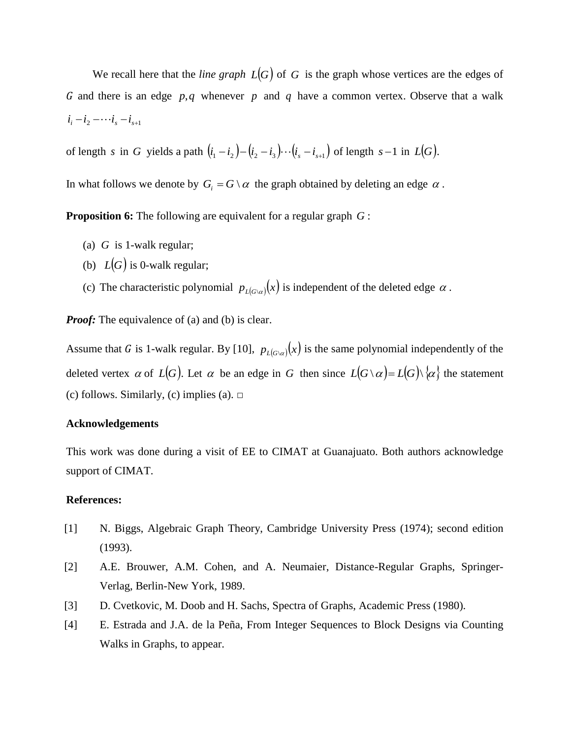We recall here that the *line* graph  $L(G)$  of G is the graph whose vertices are the edges of G and there is an edge  $p,q$  whenever p and q have a common vertex. Observe that a walk  $i_i - i_2 - \cdots i_s - i_{s+1}$ 

of length s in G yields a path  $(i_1 - i_2) - (i_2 - i_3) \cdots (i_s - i_{s+1})$  of length  $s-1$  in  $L(G)$ .

In what follows we denote by  $G_i = G \setminus \alpha$  the graph obtained by deleting an edge  $\alpha$ .

**Proposition 6:** The following are equivalent for a regular graph *G* :

- (a) *G* is 1-walk regular;
- (b)  $L(G)$  is 0-walk regular;
- (c) The characteristic polynomial  $p_{L(G \mid \alpha)}(x)$  is independent of the deleted edge  $\alpha$ .

*Proof:* The equivalence of (a) and (b) is clear.

Assume that G is 1-walk regular. By [10],  $p_{L(G \mid G)}(x)$  is the same polynomial independently of the deleted vertex  $\alpha$  of  $L(G)$ . Let  $\alpha$  be an edge in G then since  $L(G \setminus \alpha) = L(G) \setminus \{\alpha\}$  the statement (c) follows. Similarly, (c) implies (a).  $\square$ 

### **Acknowledgements**

This work was done during a visit of EE to CIMAT at Guanajuato. Both authors acknowledge support of CIMAT.

#### **References:**

- [1] N. Biggs, Algebraic Graph Theory, Cambridge University Press (1974); second edition (1993).
- [2] A.E. Brouwer, A.M. Cohen, and A. Neumaier, Distance-Regular Graphs, Springer-Verlag, Berlin-New York, 1989.
- [3] D. Cvetkovic, M. Doob and H. Sachs, Spectra of Graphs, Academic Press (1980).
- [4] E. Estrada and J.A. de la Peña, From Integer Sequences to Block Designs via Counting Walks in Graphs, to appear.